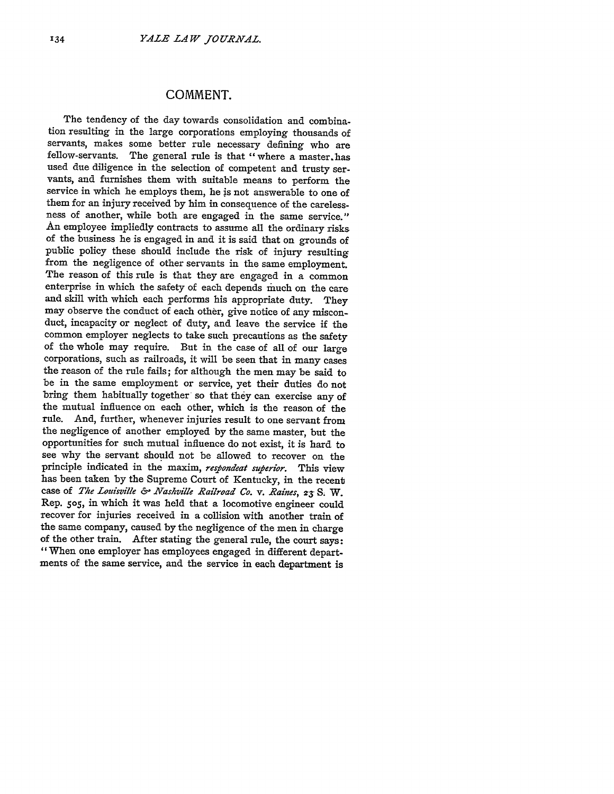## **COMMENT.**

The tendency of the day towards consolidation and combination resulting in the large corporations employing thousands of servants, makes some better rule necessary defining who are fellow-servants. The general rule is that "where a master.has used due diligence in the selection of competent and trusty servants, and furnishes them with suitable means to perform the service in which he employs them, he is not answerable to one of them for an injury received by him in consequence of the carelessness of another, while both are engaged in the same service." An employee impliedly contracts to assume all the ordinary risks of the business he is engaged in and it is said that on grounds of public policy these should include the risk of injury resulting from the negligence of other servants in the same employment. The reason of this rule is that they are engaged in a common enterprise in which the safety of each depends 'much on the care and skill with which each performs his appropriate duty. They may observe the conduct of each other, give notice of any misconduct, incapacity or neglect of duty, and leave the service if the common employer neglects to take such precautions as the safety of the whole may require. But in the case of all of our large corporations, such as railroads, it will be seen that in many cases the reason of the rule fails; for although the men may be said to be in the same employment or service, yet their duties do not bring them habitually together' so that they can exercise any of the mutual influence on each other, which is the reason of the rule. And, further, whenever injuries result to one servant from the negligence of another employed by the same master, but the opportunities for such mutual influence do not exist, it is hard to see why the servant should not be allowed to recover on the principle indicated in the maxim, *respondeat superior.* This view has been taken by the Supreme Court of Kentucky, in the recent case of *The Louisville* **&-** *Nashville Railroad Co. v. Raines, Z3* **S;** W. Rep. 5o5, in which it was held that a locomotive engineer could recover for injuries received in a collision with another train of the same company, caused by the negligence of the men in charge of the other train. After stating the general rule, the court says: " When one employer has employees engaged in different departments of the same service, and the service in each department is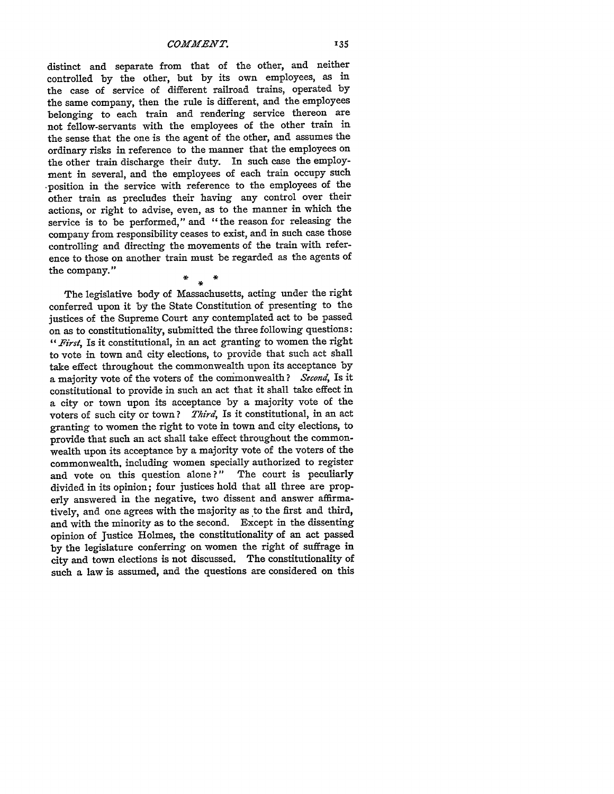distinct and separate from that of the other, and neither controlled by the other, but by its own employees, as in the case of service of different railroad trains, operated by the same company, then the rule is different, and the employees belonging to each train and rendering service thereon are not fellow-servants with the employees of the other train in the sense that the one is the agent of the other, and assumes the ordinary risks in reference to the manner that the employees on the other train discharge their duty. In such case the employment in several, and the employees of each train occupy such -position in the service with reference to the employees of the other train as precludes their having any control over their actions, or right to advise, even, as to the manner in which the service is to be performed," and "the reason for releasing the company from responsibility ceases to exist, and in such case those controlling and directing the movements of the train with reference to those on another train must be regarded as the agents of the company."

## $\star$

The legislative body of Massachusetts, acting under the right conferred upon it **by** the State Constitution of presenting to the justices of the Supreme Court any contemplated act to be passed on as to constitutionality, submitted the three following questions: *"1First,* Is it constitutional, in an act granting to women the right to vote in town and city elections, to provide that such act shall take effect throughout the commonwealth upon its acceptance by a majority vote of the voters of the conmonwealth? *Second,* Is it constitutional to provide in such an act that it shall take effect in a city or town upon its acceptance by a majority vote of the voters of such city or town? *Third,* Is it constitutional, in an act granting to women the right to vote in town and city elections, to provide that such an act shall take effect throughout the commonwealth upon its acceptance **by** a majority vote of the voters of the commonwealth, including women specially authorized to register and vote on this question alone?" The court is peculiarly divided in its opinion; four justices hold that all three are properly answered in the negative, two dissent and answer affirmatively, and one agrees with the majority as to the first and third, and with the minority as to the second. Except in the dissenting opinion of Justice Holmes, the constitutionality of an act passed **by** the legislature conferring on women the right of suffrage in city and town elections is not discussed. The constitutionality of such a law is assumed, and the questions are considered on this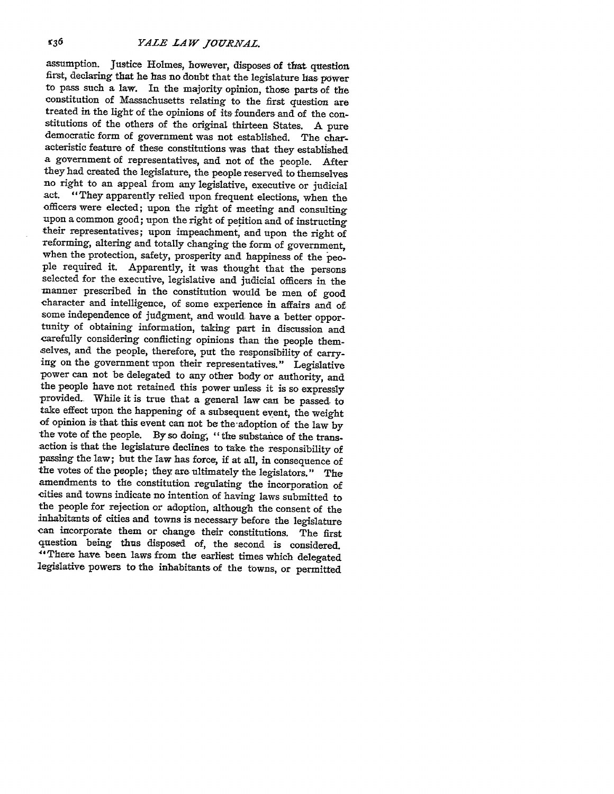assumption. Justice Holmes, however, disposes of that question first, declaring that he has no doubt that the legislature has power to pass such a law. In the majority opinion, those parts of the constitution of Massachusetts relating to the first question are treated in the light of the opinions of its founders and of the constitutions of the others of the original thirteen States. A pure democratic form of government was not established. The characteristic feature of these constitutions was that they established a government of representatives, and not of the people. After they had created the legislature, the people reserved to themselves no right to an appeal from any legislative, executive or judicial act. "They apparently relied upon frequent elections, when the officers were elected; upon the right of meeting and consulting upon a common good; upon the right of petition and of instructing their representatives; upon impeachment, and upon the right of reforming, altering and totally changing the form of government, when the protection, safety, prosperity and happiness of the people required it. Apparently, it was thought that the persons selected for the executive, legislative and judicial officers in the manner prescribed in the constitution would be men of good character and intelligence, of some experience in affairs and of some independence of judgment, and would have a better opportunity of obtaining information, taking part in discussion and carefully considering conflicting opinions than the people themselves, and the people, therefore, put the responsibility of carrying on the government upon their representatives." Legislative power can not be delegated to any other body or authority, and the people have not retained this power unless it is so expressly provided. While it is true that a general law can be passed. to take effect upon the happening of a subsequent event, the weight of opinion is that this event can not be the-adoption of the law **by** the vote of the people. By so doing, "the substance of the transaction is that the legislature declines to take the responsibility of passing the law; but the law has force, if at all, in consequence of the votes of the people; they are ultimately the legislators." The amendments to the constitution regulating the incorporation of cities and towns indicate no intention of having laws submitted to the people for rejection or adoption, although the consent of the inhabitants of cities and towns is necessary before the legislature can incorporate them or change their constitutions. The first question being thus disposed of, the second is considered. "1There have been laws from the earliest times which delegated legislative powers to the inhabitants of the towns, or permitted